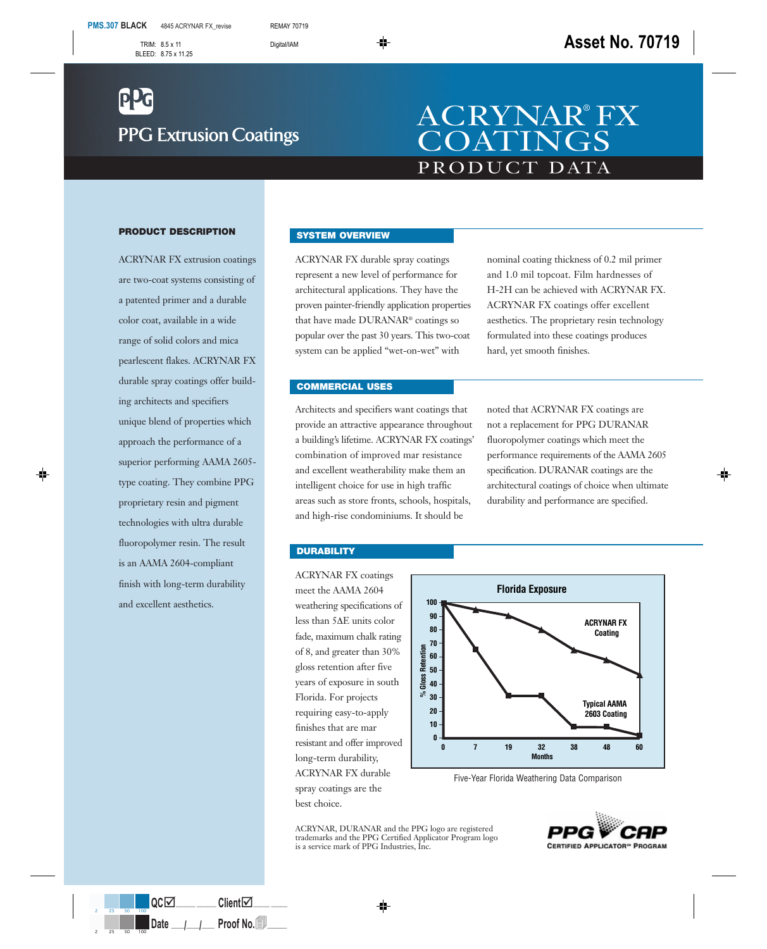# **PPG Extrusion Coatings**

## PRODUCT DATA ACRYNAR® FX **COATINGS**

#### **PRODUCT DESCRIPTION**

ACRYNAR FX extrusion coatings are two-coat systems consisting of a patented primer and a durable color coat, available in a wide range of solid colors and mica pearlescent flakes. ACRYNAR FX durable spray coatings offer building architects and specifiers unique blend of properties which approach the performance of a superior performing AAMA 2605 type coating. They combine PPG proprietary resin and pigment technologies with ultra durable fluoropolymer resin. The result is an AAMA 2604-compliant finish with long-term durability and excellent aesthetics.

#### **SYSTEM OVERVIEW**

ACRYNAR FX durable spray coatings represent a new level of performance for architectural applications. They have the proven painter-friendly application properties that have made DURANAR® coatings so popular over the past 30 years. This two-coat system can be applied "wet-on-wet" with

nominal coating thickness of 0.2 mil primer and 1.0 mil topcoat. Film hardnesses of H-2H can be achieved with ACRYNAR FX. ACRYNAR FX coatings offer excellent aesthetics. The proprietary resin technology formulated into these coatings produces hard, yet smooth finishes.

#### **COMMERCIAL USES**

Architects and specifiers want coatings that provide an attractive appearance throughout a building's lifetime. ACRYNAR FX coatings' combination of improved mar resistance and excellent weatherability make them an intelligent choice for use in high traffic areas such as store fronts, schools, hospitals, and high-rise condominiums. It should be

noted that ACRYNAR FX coatings are not a replacement for PPG DURANAR fluoropolymer coatings which meet the performance requirements of the AAMA 2605 specification. DURANAR coatings are the architectural coatings of choice when ultimate durability and performance are specified.

#### **DURABILITY**

ACRYNAR FX coatings meet the AAMA 2604 weathering specifications of less than 5∆E units color fade, maximum chalk rating of 8, and greater than 30% gloss retention after five years of exposure in south Florida. For projects requiring easy-to-apply finishes that are mar resistant and offer improved long-term durability, ACRYNAR FX durable spray coatings are the best choice.



Five-Year Florida Weathering Data Comparison

ACRYNAR, DURANAR and the PPG logo are registered trademarks and the PPG Certified Applicator Program logo is a service mark of PPG Industries, Inc.